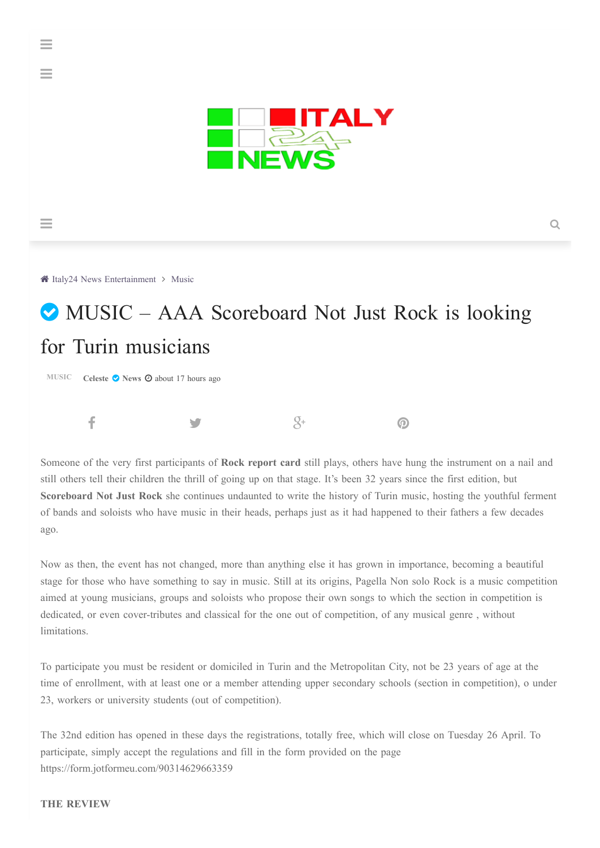

 $\equiv$ 

 $\equiv$ 

A Italy24 News [Entertainment](https://news.italy-24.com/entertainment) > [Music](https://news.italy-24.com/entertainment/music)

# MUSIC – AAA Scoreboard Not Just Rock is looking for Turin musicians

**[MUSIC](https://news.italy-24.com/entertainment/music) [Celeste](https://news.italy-24.com/entertainment/search/%D9%83%D8%A7%D8%AA%D8%A8:Celeste) ⊘ [News](https://news.italy-24.com/entertainment/sources/1/News.html) ⊙** about 17 hours ago



Someone of the very first participants of **Rock report card** still plays, others have hung the instrument on a nail and still others tell their children the thrill of going up on that stage. It's been 32 years since the first edition, but **Scoreboard Not Just Rock** she continues undaunted to write the history of Turin music, hosting the youthful ferment of bands and soloists who have music in their heads, perhaps just as it had happened to their fathers a few decades ago.

Now as then, the event has not changed, more than anything else it has grown in importance, becoming a beautiful stage for those who have something to say in music. Still at its origins, Pagella Non solo Rock is a music competition aimed at young musicians, groups and soloists who propose their own songs to which the section in competition is dedicated, or even cover-tributes and classical for the one out of competition, of any musical genre , without limitations.

To participate you must be resident or domiciled in Turin and the Metropolitan City, not be 23 years of age at the time of enrollment, with at least one or a member attending upper secondary schools (section in competition), o under 23, workers or university students (out of competition).

The 32nd edition has opened in these days the registrations, totally free, which will close on Tuesday 26 April. To participate, simply accept the regulations and fill in the form provided on the page https://form.jotformeu.com/90314629663359

## **THE REVIEW**